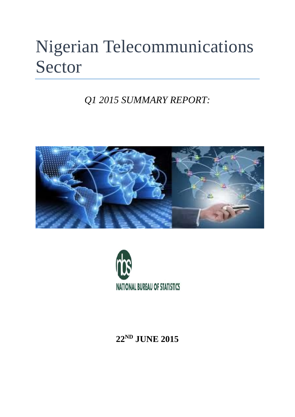# Nigerian Telecommunications Sector

*Q1 2015 SUMMARY REPORT:*





**22ND JUNE 2015**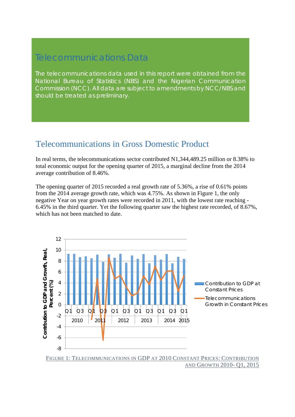### Telecommunications Data

*The telecommunications data used in this report were obtained from the National Bureau of Statistics (NBS) and the Nigerian Communication Commission (NCC). All data are subject to amendments by NCC/NBS and should be treated as preliminary.* 

### Telecommunications in Gross Domestic Product

In real terms, the telecommunications sector contributed N1,344,489.25 million or 8.38% to total economic output for the opening quarter of 2015, a marginal decline from the 2014 average contribution of 8.46%.

The opening quarter of 2015 recorded a real growth rate of 5.36%, a rise of 0.61% points from the 2014 average growth rate, which was 4.75%. As shown in Figure 1, the only negative Year on year growth rates were recorded in 2011, with the lowest rate reaching - 6.45% in the third quarter. Yet the following quarter saw the highest rate recorded, of 8.67%, which has not been matched to date.

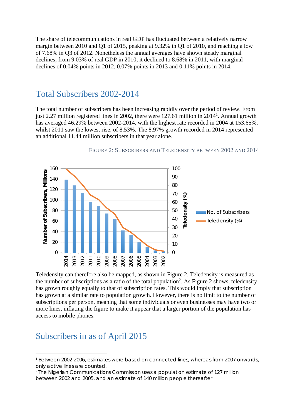The share of telecommunications in real GDP has fluctuated between a relatively narrow margin between 2010 and Q1 of 2015, peaking at 9.32% in Q1 of 2010, and reaching a low of 7.68% in Q3 of 2012. Nonetheless the annual averages have shown steady marginal declines; from 9.03% of real GDP in 2010, it declined to 8.68% in 2011, with marginal declines of 0.04% points in 2012, 0.07% points in 2013 and 0.11% points in 2014.

### Total Subscribers 2002-2014

The total number of subscribers has been increasing rapidly over the period of review. From just 2.27 million registered lines in 2002, there were 127.61 million in 2014<sup>1</sup>. Annual growth has averaged 46.29% between 2002-2014, with the highest rate recorded in 2004 at 153.65%, whilst 2011 saw the lowest rise, of 8.53%. The 8.97% growth recorded in 2014 represented an additional 11.44 million subscribers in that year alone.



#### FIGURE 2: SUBSCRIBERS AND TELEDENSITY BETWEEN 2002 AND 2014

Teledensity can therefore also be mapped, as shown in Figure 2. Teledensity is measured as the number of subscriptions as a ratio of the total population<sup>2</sup>. As Figure 2 shows, teledensity has grown roughly equally to that of subscription rates. This would imply that subscription has grown at a similar rate to population growth. However, there is no limit to the number of subscriptions per person, meaning that some individuals or even businesses may have two or more lines, inflating the figure to make it appear that a larger portion of the population has access to mobile phones.

### Subscribers in as of April 2015

<sup>1</sup> Between 2002-2006, estimates were based on connected lines, whereas from 2007 onwards, only active lines are counted.

<sup>2</sup> The Nigerian Communications Commission uses a population estimate of 127 million between 2002 and 2005, and an estimate of 140 million people thereafter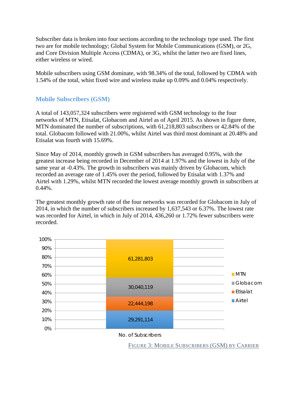Subscriber data is broken into four sections according to the technology type used. The first two are for mobile technology; Global System for Mobile Communications (GSM), or 2G, and Core Division Multiple Access (CDMA), or 3G, whilst the latter two are fixed lines, either wireless or wired.

Mobile subscribers using GSM dominate, with 98.34% of the total, followed by CDMA with 1.54% of the total, whist fixed wire and wireless make up 0.09% and 0.04% respectively.

#### **Mobile Subscribers (GSM)**

A total of 143,057,324 subscribers were registered with GSM technology to the four networks of MTN, Etisalat, Globacom and Airtel as of April 2015. As shown in figure three, MTN dominated the number of subscriptions, with 61,218,803 subscribers or 42.84% of the total. Globacom followed with 21.00%, whilst Airtel was third most dominant at 20.48% and Etisalat was fourth with 15.69%.

Since May of 2014, monthly growth in GSM subscribers has averaged 0.95%, with the greatest increase being recorded in December of 2014 at 1.97% and the lowest in July of the same year at -0.43%. The growth in subscribers was mainly driven by Globacom, which recorded an average rate of 1.45% over the period, followed by Etisalat with 1.37% and Airtel with 1.29%, whilst MTN recorded the lowest average monthly growth in subscribers at  $0.44\%$ .

The greatest monthly growth rate of the four networks was recorded for Globacom in July of 2014, in which the number of subscribers increased by 1,637,543 or 6.37%. The lowest rate was recorded for Airtel, in which in July of 2014, 436,260 or 1.72% fewer subscribers were recorded.



No. of Subscribers

FIGURE 3: MOBILE SUBSCRIBERS (GSM) BY CARRIER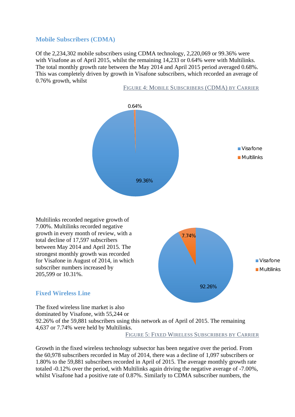#### **Mobile Subscribers (CDMA)**

Of the 2,234,302 mobile subscribers using CDMA technology, 2,220,069 or 99.36% were with Visafone as of April 2015, whilst the remaining 14,233 or 0.64% were with Multilinks. The total monthly growth rate between the May 2014 and April 2015 period averaged 0.68%. This was completely driven by growth in Visafone subscribers, which recorded an average of 0.76% growth, whilst



FIGURE 4: MOBILE SUBSCRIBERS (CDMA) BY CARRIER

Multilinks recorded negative growth of 7.00%. Multilinks recorded negative growth in every month of review, with a total decline of 17,597 subscribers between May 2014 and April 2015. The strongest monthly growth was recorded for Visafone in August of 2014, in which subscriber numbers increased by 205,599 or 10.31%.

### **Fixed Wireless Line**

The fixed wireless line market is also dominated by Visafone, with 55,244 or 92.26% of the 59,881 subscribers using this network as of April of 2015. The remaining 4,637 or 7.74% were held by Multilinks.

FIGURE 5: FIXED WIRELESS SUBSCRIBERS BY CARRIER

7.74%

92.26%

**Visafone Multilinks** 

Growth in the fixed wireless technology subsector has been negative over the period. From the 60,978 subscribers recorded in May of 2014, there was a decline of 1,097 subscribers or 1.80% to the 59,881 subscribers recorded in April of 2015. The average monthly growth rate totaled -0.12% over the period, with Multilinks again driving the negative average of -7.00%, whilst Visafone had a positive rate of 0.87%. Similarly to CDMA subscriber numbers, the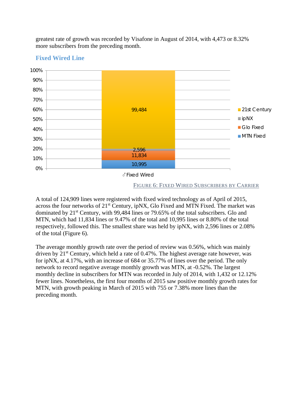greatest rate of growth was recorded by Visafone in August of 2014, with 4,473 or 8.32% more subscribers from the preceding month.

#### **Fixed Wired Line**



FIGURE 6: FIXED WIRED SUBSCRIBERS BY CARRIER

A total of 124,909 lines were registered with fixed wired technology as of April of 2015, across the four networks of 21<sup>st</sup> Century, ipNX, Glo Fixed and MTN Fixed. The market was dominated by 21<sup>st</sup> Century, with 99,484 lines or 79.65% of the total subscribers. Glo and MTN, which had 11,834 lines or 9.47% of the total and 10,995 lines or 8.80% of the total respectively, followed this. The smallest share was held by ipNX, with 2,596 lines or 2.08% of the total (Figure 6).

The average monthly growth rate over the period of review was 0.56%, which was mainly driven by  $21<sup>st</sup>$  Century, which held a rate of 0.47%. The highest average rate however, was for ipNX, at 4.17%, with an increase of 684 or 35.77% of lines over the period. The only network to record negative average monthly growth was MTN, at -0.52%. The largest monthly decline in subscribers for MTN was recorded in July of 2014, with 1,432 or 12.12% fewer lines. Nonetheless, the first four months of 2015 saw positive monthly growth rates for MTN, with growth peaking in March of 2015 with 755 or 7.38% more lines than the preceding month.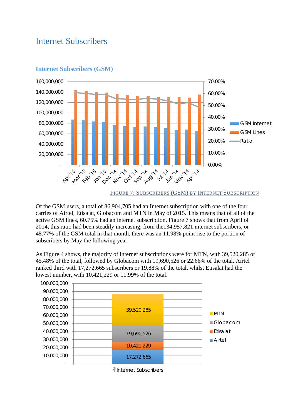### Internet Subscribers



#### **Internet Subscribers (GSM)**

Of the GSM users, a total of 86,904,705 had an Internet subscription with one of the four carries of Airtel, Etisalat, Globacom and MTN in May of 2015. This means that of all of the active GSM lines, 60.75% had an internet subscription. Figure 7 shows that from April of 2014, this ratio had been steadily increasing, from the134,957,821 internet subscribers, or 48.77% of the GSM total in that month, there was an 11.98% point rise to the portion of subscribers by May the following year.

As Figure 4 shows, the majority of internet subscriptions were for MTN, with 39,520,285 or 45.48% of the total, followed by Globacom with 19,690,526 or 22.66% of the total. Airtel ranked third with 17,272,665 subscribers or 19.88% of the total, whilst Etisalat had the lowest number, with 10,421,229 or 11.99% of the total.

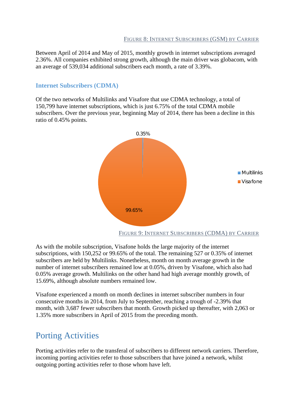Between April of 2014 and May of 2015, monthly growth in internet subscriptions averaged 2.36%. All companies exhibited strong growth, although the main driver was globacom, with an average of 539,034 additional subscribers each month, a rate of 3.39%.

#### **Internet Subscribers (CDMA)**

Of the two networks of Multilinks and Visafore that use CDMA technology, a total of 150,799 have internet subscriptions, which is just 6.75% of the total CDMA mobile subscribers. Over the previous year, beginning May of 2014, there has been a decline in this ratio of 0.45% points.



As with the mobile subscription, Visafone holds the large majority of the internet subscriptions, with 150,252 or 99.65% of the total. The remaining 527 or 0.35% of internet subscribers are held by Multilinks. Nonetheless, month on month average growth in the number of internet subscribers remained low at 0.05%, driven by Visafone, which also had 0.05% average growth. Multilinks on the other hand had high average monthly growth, of 15.69%, although absolute numbers remained low.

Visafone experienced a month on month declines in internet subscriber numbers in four consecutive months in 2014, from July to September, reaching a trough of -2.39% that month, with 3,687 fewer subscribers that month. Growth picked up thereafter, with 2,063 or 1.35% more subscribers in April of 2015 from the preceding month.

### Porting Activities

Porting activities refer to the transferal of subscribers to different network carriers. Therefore, incoming porting activities refer to those subscribers that have joined a network, whilst outgoing porting activities refer to those whom have left.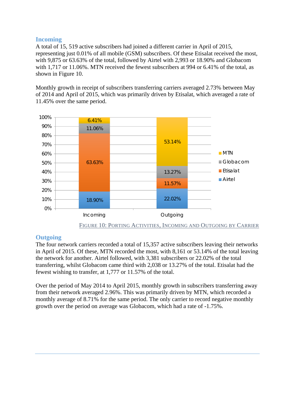### **Incoming**

A total of 15, 519 active subscribers had joined a different carrier in April of 2015, representing just 0.01% of all mobile (GSM) subscribers. Of these Etisalat received the most, with 9,875 or 63.63% of the total, followed by Airtel with 2,993 or 18.90% and Globacom with 1,717 or 11.06%. MTN received the fewest subscribers at 994 or 6.41% of the total, as shown in Figure 10.

Monthly growth in receipt of subscribers transferring carriers averaged 2.73% between May of 2014 and April of 2015, which was primarily driven by Etisalat, which averaged a rate of 11.45% over the same period.



#### **Outgoing**

The four network carriers recorded a total of 15,357 active subscribers leaving their networks in April of 2015. Of these, MTN recorded the most, with 8,161 or 53.14% of the total leaving the network for another. Airtel followed, with 3,381 subscribers or 22.02% of the total transferring, whilst Globacom came third with 2,038 or 13.27% of the total. Etisalat had the fewest wishing to transfer, at 1,777 or 11.57% of the total.

Over the period of May 2014 to April 2015, monthly growth in subscribers transferring away from their network averaged 2.96%. This was primarily driven by MTN, which recorded a monthly average of 8.71% for the same period. The only carrier to record negative monthly growth over the period on average was Globacom, which had a rate of -1.75%.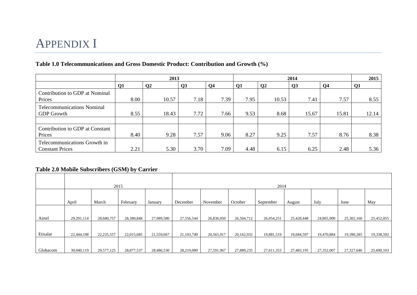## APPENDIX I

#### **Table 1.0 Telecommunications and Gross Domestic Product: Contribution and Growth (%)**

|                                                        |      | 2013          |      |                |                |                | 2015  |                |           |
|--------------------------------------------------------|------|---------------|------|----------------|----------------|----------------|-------|----------------|-----------|
|                                                        | Q1   | $\mathbf{Q2}$ | Q3   | Q <sub>4</sub> | Q <sub>1</sub> | Q <sub>2</sub> | Q3    | Q <sub>4</sub> | <b>Q1</b> |
| Contribution to GDP at Nominal<br>Prices               | 8.00 | 10.57         | 7.18 | 7.39           | 7.95           | 10.53          | 7.41  | 7.57           | 8.55      |
| <b>Telecommunications Nominal</b><br><b>GDP</b> Growth | 8.55 | 18.43         | 7.72 | 7.66           | 9.53           | 8.68           | 15.67 | 15.81          | 12.14     |
|                                                        |      |               |      |                |                |                |       |                |           |
| Contribution to GDP at Constant<br>Prices              | 8.40 | 9.28          | 7.57 | 9.06           | 8.27           | 9.25           | 7.57  | 8.76           | 8.38      |
| Telecommunications Growth in<br><b>Constant Prices</b> | 2.21 | 5.30          | 3.70 | 7.09           | 4.48           | 6.15           | 6.25  | 2.48           | 5.36      |

#### **Table 2.0 Mobile Subscribers (GSM) by Carrier**

|          |            |              | 2015       |            |            |            |            | 2014       |            |            |            |            |
|----------|------------|--------------|------------|------------|------------|------------|------------|------------|------------|------------|------------|------------|
|          |            |              |            |            |            |            |            |            |            |            |            |            |
|          | April      | March        | February   | January    | December   | November   | October    | September  | August     | July       | June       | May        |
|          |            |              |            |            |            |            |            |            |            |            |            |            |
| Airtel   | 29,291,114 | 28,680,757   | 28,380,848 | 27,989,580 | 27,556,544 | 26,836,050 | 26,504,712 | 26,054,251 | 25,428,448 | 24,865,900 | 25,302,160 | 25,452,055 |
|          |            |              |            |            |            |            |            |            |            |            |            |            |
| Etisalat | 22,444,198 | 22, 235, 557 | 22,015,685 | 21,559,667 | 21,103,749 | 20,565,917 | 20,162,932 | 19,881,519 | 19,684,597 | 19,470,884 | 19,390,285 | 19,338,592 |
|          |            |              |            |            |            |            |            |            |            |            |            |            |
| Globacom | 30,040,119 | 29,577,125   | 28,877,537 | 28,486,530 | 28,219,089 | 27,591,967 | 27,889,235 | 27,611,353 | 27,483,195 | 27,352,007 | 27,327,646 | 25,690,103 |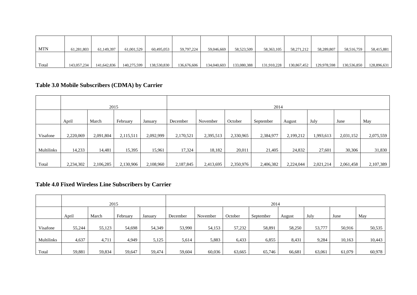| <b>MTN</b> | 61,281,803  | 61,149,397  | 61,001,529  | 60,495,053  | 59,797,224  | 59,046,669  | 58,523,509  | 58,363,105  | 58,271,212  | 58,289,807  | 58,516,759  | 58,415,881  |
|------------|-------------|-------------|-------------|-------------|-------------|-------------|-------------|-------------|-------------|-------------|-------------|-------------|
|            |             |             |             |             |             |             |             |             |             |             |             |             |
|            |             |             |             |             |             |             |             |             |             |             |             |             |
| Total      | 143,057,234 | 141.642.836 | 140.275.599 | 138,530,830 | 136,676,606 | 134,040,603 | 133,080,388 | 131,910,228 | 130,867,452 | 129.978.598 | 130,536,850 | 128,896,631 |

### **Table 3.0 Mobile Subscribers (CDMA) by Carrier**

|            |                                       |           | 2015      |           |           |           |           | 2014      |           |           |           |           |
|------------|---------------------------------------|-----------|-----------|-----------|-----------|-----------|-----------|-----------|-----------|-----------|-----------|-----------|
|            | April<br>February<br>March<br>January |           |           |           | December  | November  | October   | September | August    | July      | June      | May       |
| Visafone   | 2,220,069                             | 2,091,804 | 2,115,511 | 2,092,999 | 2,170,521 | 2,395,513 | 2,330,965 | 2,384,977 | 2,199,212 | 1,993,613 | 2,031,152 | 2,075,559 |
| Multilinks | 14,233                                | 14,481    | 15,395    | 15,961    | 17,324    | 18,182    | 20,011    | 21,405    | 24,832    | 27,601    | 30,306    | 31,830    |
| Total      | 2,234,302                             | 2,106,285 | 2,130,906 | 2,108,960 | 2,187,845 | 2,413,695 | 2,350,976 | 2,406,382 | 2,224,044 | 2,021,214 | 2,061,458 | 2,107,389 |

### **Table 4.0 Fixed Wireless Line Subscribers by Carrier**

|            |                                       | 2015   |        |        |          |          |         | 2014      |        |        |        |        |
|------------|---------------------------------------|--------|--------|--------|----------|----------|---------|-----------|--------|--------|--------|--------|
|            | April<br>February<br>March<br>January |        |        |        | December | November | October | September | August | July   | June   | May    |
| Visafone   | 55,244                                | 55,123 | 54,698 | 54,349 | 53,990   | 54,153   | 57,232  | 58,891    | 58,250 | 53,777 | 50,916 | 50,535 |
| Multilinks | 4,637                                 | 4,711  | 4,949  | 5,125  | 5,614    | 5,883    | 6,433   | 6,855     | 8,431  | 9,284  | 10,163 | 10,443 |
| Total      | 59,881                                | 59,834 | 59,647 | 59,474 | 59,604   | 60,036   | 63,665  | 65,746    | 66,681 | 63,061 | 61,079 | 60,978 |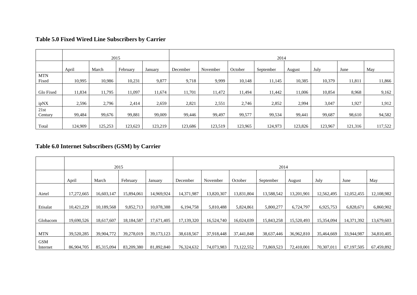| Table 5.0 Fixed Wired Line Subscribers by Carrier |  |
|---------------------------------------------------|--|
|---------------------------------------------------|--|

|                     | 2015    |         |          | 2014    |          |          |         |           |         |         |         |         |
|---------------------|---------|---------|----------|---------|----------|----------|---------|-----------|---------|---------|---------|---------|
|                     | April   | March   | February | January | December | November | October | September | August  | July    | June    | May     |
| <b>MTN</b><br>Fixed | 10,995  | 10,986  | 10,231   | 9,877   | 9,718    | 9,999    | 10,148  | 11,145    | 10,385  | 10,379  | 11,811  | 11,866  |
| Glo Fixed           | 11,834  | 11,795  | 11,097   | 11,674  | 11,701   | 11,472   | 11,494  | 11,442    | 1,006   | 10,854  | 8,968   | 9,162   |
| ipNX                | 2,596   | 2,796   | 2,414    | 2,659   | 2,821    | 2,551    | 2,746   | 2,852     | 2,994   | 3,047   | 1,927   | 1,912   |
| 21st<br>Century     | 99,484  | 99,676  | 99,881   | 99,009  | 99,446   | 99,497   | 99,577  | 99,534    | 99,441  | 99,687  | 98,610  | 94,582  |
| Total               | 124,909 | 125,253 | 123,623  | 123,219 | 123,686  | 123,519  | 123,965 | 124,973   | 123,826 | 123,967 | 121,316 | 117,522 |

### **Table 6.0 Internet Subscribers (GSM) by Carrier**

|                        |                                       |            | 2015       |              |            |            |            | 2014       |            |            |            |            |  |  |
|------------------------|---------------------------------------|------------|------------|--------------|------------|------------|------------|------------|------------|------------|------------|------------|--|--|
|                        | February<br>March<br>April<br>January |            |            |              | December   | November   | October    | September  | August     | July       | June       | May        |  |  |
| Airtel                 | 17,272,665                            | 16,603,147 | 15,894,061 | 14,969,924   | 14,371,987 | 13,820,307 | 13,831,804 | 13,588,542 | 13,201,901 | 12,562,495 | 12,052,455 | 12,108,982 |  |  |
| Etisalat               | 10,421,229                            | 10,189,568 | 9,852,713  | 10,078,388   | 6,194,758  | 5,810,488  | 5,824,861  | 5,800,277  | 6,724,797  | 6,925,753  | 6,828,671  | 6,860,902  |  |  |
| Globacom               | 19,690,526                            | 18,617,607 | 18,184,587 | 17,671,405   | 17,139,320 | 16,524,740 | 16,024,039 | 15,843,258 | 15,520,493 | 15,354,094 | 14,371,392 | 13,679,603 |  |  |
| <b>MTN</b>             | 39,520,285                            | 39,904,772 | 39,278,019 | 39, 173, 123 | 38,618,567 | 37.918.448 | 37,441,848 | 38,637,446 | 36,962,810 | 35,464,669 | 33,944,987 | 34,810,405 |  |  |
| <b>GSM</b><br>Internet | 86,904,705                            | 85,315,094 | 83,209,380 | 81,892,840   | 76,324,632 | 74,073,983 | 73,122,552 | 73,869,523 | 72,410,001 | 70,307,011 | 67,197,505 | 67,459,892 |  |  |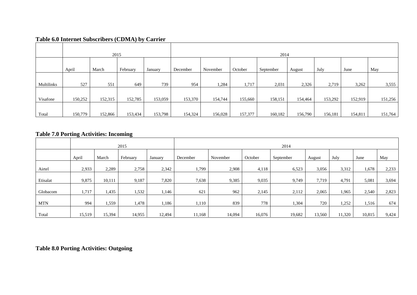### **Table 6.0 Internet Subscribers (CDMA) by Carrier**

|            |         | 2015    |          |         |          |          |         | 2014      |         |         |         |         |
|------------|---------|---------|----------|---------|----------|----------|---------|-----------|---------|---------|---------|---------|
|            |         |         |          |         |          |          |         |           |         |         |         |         |
|            | April   | March   | February | January | December | November | October | September | August  | July    | June    | May     |
|            |         |         |          |         |          |          |         |           |         |         |         |         |
| Multilinks | 527     | 551     | 649      | 739     | 954      | 1,284    | 1,717   | 2,031     | 2,326   | 2,719   | 3,262   | 3,555   |
|            |         |         |          |         |          |          |         |           |         |         |         |         |
| Visafone   | 150,252 | 152,315 | 152,785  | 153,059 | 153,370  | 154,744  | 155,660 | 158,151   | 154,464 | 153,292 | 152,919 | 151,256 |
|            |         |         |          |         |          |          |         |           |         |         |         |         |
| Total      | 150,779 | 152,866 | 153,434  | 153,798 | 154,324  | 156,028  | 157,377 | 160,182   | 156,790 | 156,181 | 154,811 | 151,764 |

#### **Table 7.0 Porting Activities: Incoming**

|            | 2015   |        |          |         | 2014     |          |         |           |        |        |        |       |  |  |  |
|------------|--------|--------|----------|---------|----------|----------|---------|-----------|--------|--------|--------|-------|--|--|--|
|            | April  | March  | February | January | December | November | October | September | August | July   | June   | May   |  |  |  |
| Airtel     | 2,933  | 2,289  | 2,758    | 2,342   | 1,799    | 2,908    | 4,118   | 6,523     | 3,056  | 3,312  | 1,678  | 2,233 |  |  |  |
| Etisalat   | 9,875  | 10,111 | 9,187    | 7,820   | 7,638    | 9,385    | 9,035   | 9,749     | 7,719  | 4,791  | 5,081  | 3,694 |  |  |  |
| Globacom   | 1,717  | 1,435  | .532     | 1,146   | 621      | 962      | 2,145   | 2,112     | 2,065  | 1,965  | 2,540  | 2,823 |  |  |  |
| <b>MTN</b> | 994    | 1,559  | 1,478    | 1,186   | 1,110    | 839      | 778     | .304      | 720    | 1,252  | 1,516  | 674   |  |  |  |
| Total      | 15,519 | 15,394 | 14,955   | 12,494  | 11,168   | 14,094   | 16,076  | 19,682    | 13,560 | 11,320 | 10,815 | 9,424 |  |  |  |

**Table 8.0 Porting Activities: Outgoing**